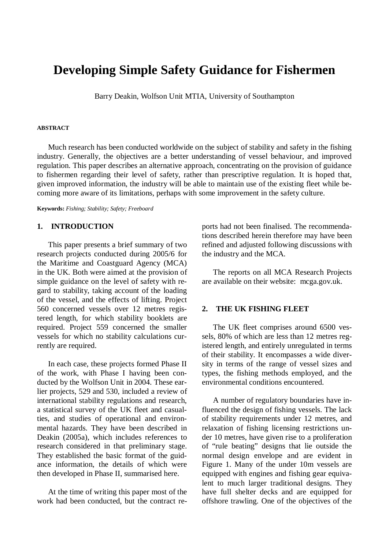# **Developing Simple Safety Guidance for Fishermen**

Barry Deakin, Wolfson Unit MTIA, University of Southampton

#### **ABSTRACT**

Much research has been conducted worldwide on the subject of stability and safety in the fishing industry. Generally, the objectives are a better understanding of vessel behaviour, and improved regulation. This paper describes an alternative approach, concentrating on the provision of guidance to fishermen regarding their level of safety, rather than prescriptive regulation. It is hoped that, given improved information, the industry will be able to maintain use of the existing fleet while becoming more aware of its limitations, perhaps with some improvement in the safety culture.

**Keywords:** *Fishing; Stability; Safety; Freeboard*

#### **1. INTRODUCTION**

This paper presents a brief summary of two research projects conducted during 2005/6 for the Maritime and Coastguard Agency (MCA) in the UK. Both were aimed at the provision of simple guidance on the level of safety with regard to stability, taking account of the loading of the vessel, and the effects of lifting. Project 560 concerned vessels over 12 metres registered length, for which stability booklets are required. Project 559 concerned the smaller vessels for which no stability calculations currently are required.

In each case, these projects formed Phase II of the work, with Phase I having been conducted by the Wolfson Unit in 2004. These earlier projects, 529 and 530, included a review of international stability regulations and research, a statistical survey of the UK fleet and casualties, and studies of operational and environmental hazards. They have been described in Deakin (2005a), which includes references to research considered in that preliminary stage. They established the basic format of the guidance information, the details of which were then developed in Phase II, summarised here.

At the time of writing this paper most of the work had been conducted, but the contract reports had not been finalised. The recommendations described herein therefore may have been refined and adjusted following discussions with the industry and the MCA.

The reports on all MCA Research Projects are available on their website: mcga.gov.uk.

#### **2. THE UK FISHING FLEET**

The UK fleet comprises around 6500 vessels, 80% of which are less than 12 metres registered length, and entirely unregulated in terms of their stability. It encompasses a wide diversity in terms of the range of vessel sizes and types, the fishing methods employed, and the environmental conditions encountered.

A number of regulatory boundaries have influenced the design of fishing vessels. The lack of stability requirements under 12 metres, and relaxation of fishing licensing restrictions under 10 metres, have given rise to a proliferation of "rule beating" designs that lie outside the normal design envelope and are evident in Figure 1. Many of the under 10m vessels are equipped with engines and fishing gear equivalent to much larger traditional designs. They have full shelter decks and are equipped for offshore trawling. One of the objectives of the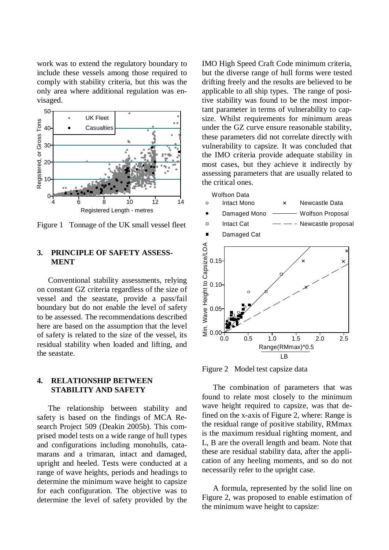work was to extend the regulatory boundary to include these vessels among those required to comply with stability criteria, but this was the only area where additional regulation was envisaged.



Figure 1 Tonnage of the UK small vessel fleet

# **3. PRINCIPLE OF SAFETY ASSESS-MENT**

Conventional stability assessments, relying on constant GZ criteria regardless of the size of vessel and the seastate, provide a pass/fail boundary but do not enable the level of safety to be assessed. The recommendations described here are based on the assumption that the level of safety is related to the size of the vessel, its residual stability when loaded and lifting, and the seastate.

# **4. RELATIONSHIP BETWEEN STABILITY AND SAFETY**

The relationship between stability and safety is based on the findings of MCA Research Project 509 (Deakin 2005b). This comprised model tests on a wide range of hull types and configurations including monohulls, catamarans and a trimaran, intact and damaged, upright and heeled. Tests were conducted at a range of wave heights, periods and headings to determine the minimum wave height to capsize for each configuration. The objective was to determine the level of safety provided by the

IMO High Speed Craft Code minimum criteria, but the diverse range of hull forms were tested drifting freely and the results are believed to be applicable to all ship types. The range of positive stability was found to be the most important parameter in terms of vulnerability to capsize. Whilst requirements for minimum areas under the GZ curve ensure reasonable stability, these parameters did not correlate directly with vulnerability to capsize. It was concluded that the IMO criteria provide adequate stability in most cases, but they achieve it indirectly by assessing parameters that are usually related to the critical ones.



Figure 2 Model test capsize data

The combination of parameters that was found to relate most closely to the minimum wave height required to capsize, was that defined on the x-axis of Figure 2, where: Range is the residual range of positive stability, RMmax is the maximum residual righting moment, and L, B are the overall length and beam. Note that these are residual stability data, after the application of any heeling moments, and so do not necessarily refer to the upright case.

A formula, represented by the solid line on Figure 2, was proposed to enable estimation of the minimum wave height to capsize: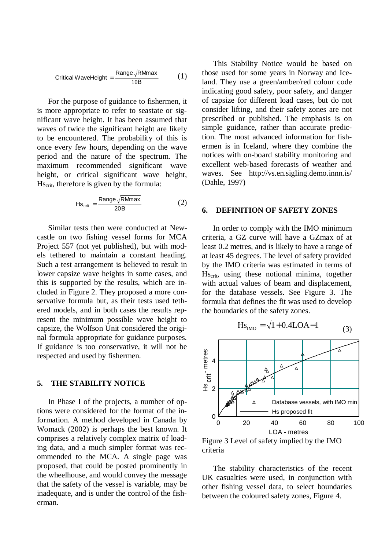$$
Critical WaveHeight = \frac{Range\sqrt{R M max}}{10B}
$$
 (1)

For the purpose of guidance to fishermen, it is more appropriate to refer to seastate or significant wave height. It has been assumed that waves of twice the significant height are likely to be encountered. The probability of this is once every few hours, depending on the wave period and the nature of the spectrum. The maximum recommended significant wave height, or critical significant wave height, Hscrit, therefore is given by the formula:

$$
Hs_{\text{crit}} = \frac{\text{Range}\sqrt{\text{RMmax}}}{20B} \tag{2}
$$

Similar tests then were conducted at Newcastle on two fishing vessel forms for MCA Project 557 (not yet published), but with models tethered to maintain a constant heading. Such a test arrangement is believed to result in lower capsize wave heights in some cases, and this is supported by the results, which are included in Figure 2. They proposed a more conservative formula but, as their tests used tethered models, and in both cases the results represent the minimum possible wave height to capsize, the Wolfson Unit considered the original formula appropriate for guidance purposes. If guidance is too conservative, it will not be respected and used by fishermen.

#### **5. THE STABILITY NOTICE**

In Phase I of the projects, a number of options were considered for the format of the information. A method developed in Canada by Womack (2002) is perhaps the best known. It comprises a relatively complex matrix of loading data, and a much simpler format was recommended to the MCA. A single page was proposed, that could be posted prominently in the wheelhouse, and would convey the message that the safety of the vessel is variable, may be inadequate, and is under the control of the fisherman.

This Stability Notice would be based on those used for some years in Norway and Iceland. They use a green/amber/red colour code indicating good safety, poor safety, and danger of capsize for different load cases, but do not consider lifting, and their safety zones are not prescribed or published. The emphasis is on simple guidance, rather than accurate prediction. The most advanced information for fishermen is in Iceland, where they combine the notices with on-board stability monitoring and excellent web-based forecasts of weather and waves. See <http://vs.en.sigling.demo.innn.is/> (Dahle, 1997)

#### **6. DEFINITION OF SAFETY ZONES**

In order to comply with the IMO minimum criteria, a GZ curve will have a GZmax of at least 0.2 metres, and is likely to have a range of at least 45 degrees. The level of safety provided by the IMO criteria was estimated in terms of Hscrit, using these notional minima, together with actual values of beam and displacement, for the database vessels. See Figure 3. The formula that defines the fit was used to develop the boundaries of the safety zones.

$$
Hs_{\text{IMO}} = \sqrt{1 + 0.4\text{LOA} - 1}
$$
 (3)



Figure 3 Level of safety implied by the IMO criteria

The stability characteristics of the recent UK casualties were used, in conjunction with other fishing vessel data, to select boundaries between the coloured safety zones, Figure 4.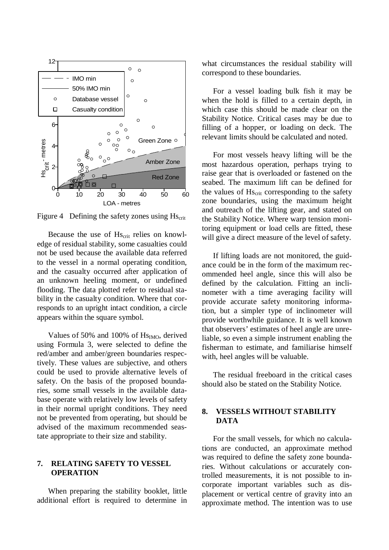

Figure 4 Defining the safety zones using  $Hs_{crit}$ 

Because the use of Hs<sub>crit</sub> relies on knowledge of residual stability, some casualties could not be used because the available data referred to the vessel in a normal operating condition, and the casualty occurred after application of an unknown heeling moment, or undefined flooding. The data plotted refer to residual stability in the casualty condition. Where that corresponds to an upright intact condition, a circle appears within the square symbol.

Values of 50% and 100% of  $Hs<sub>IMO</sub>$ , derived using Formula 3, were selected to define the red/amber and amber/green boundaries respectively. These values are subjective, and others could be used to provide alternative levels of safety. On the basis of the proposed boundaries, some small vessels in the available database operate with relatively low levels of safety in their normal upright conditions. They need not be prevented from operating, but should be advised of the maximum recommended seastate appropriate to their size and stability.

# **7. RELATING SAFETY TO VESSEL OPERATION**

When preparing the stability booklet, little additional effort is required to determine in

what circumstances the residual stability will correspond to these boundaries.

For a vessel loading bulk fish it may be when the hold is filled to a certain depth, in which case this should be made clear on the Stability Notice. Critical cases may be due to filling of a hopper, or loading on deck. The relevant limits should be calculated and noted.

For most vessels heavy lifting will be the most hazardous operation, perhaps trying to raise gear that is overloaded or fastened on the seabed. The maximum lift can be defined for the values of Hs<sub>crit</sub> corresponding to the safety zone boundaries, using the maximum height and outreach of the lifting gear, and stated on the Stability Notice. Where warp tension monitoring equipment or load cells are fitted, these will give a direct measure of the level of safety.

If lifting loads are not monitored, the guidance could be in the form of the maximum recommended heel angle, since this will also be defined by the calculation. Fitting an inclinometer with a time averaging facility will provide accurate safety monitoring information, but a simpler type of inclinometer will provide worthwhile guidance. It is well known that observers' estimates of heel angle are unreliable, so even a simple instrument enabling the fisherman to estimate, and familiarise himself with, heel angles will be valuable.

The residual freeboard in the critical cases should also be stated on the Stability Notice.

# **8. VESSELS WITHOUT STABILITY DATA**

For the small vessels, for which no calculations are conducted, an approximate method was required to define the safety zone boundaries. Without calculations or accurately controlled measurements, it is not possible to incorporate important variables such as displacement or vertical centre of gravity into an approximate method. The intention was to use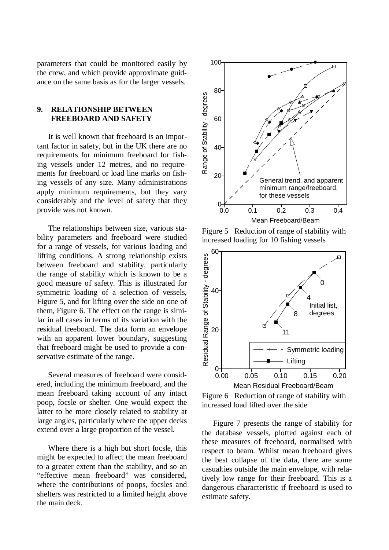parameters that could be monitored easily by the crew, and which provide approximate guidance on the same basis as for the larger vessels.

# **9. RELATIONSHIP BETWEEN FREEBOARD AND SAFETY**

It is well known that freeboard is an important factor in safety, but in the UK there are no requirements for minimum freeboard for fishing vessels under 12 metres, and no requirements for freeboard or load line marks on fishing vessels of any size. Many administrations apply minimum requirements, but they vary considerably and the level of safety that they provide was not known.

The relationships between size, various stability parameters and freeboard were studied for a range of vessels, for various loading and lifting conditions. A strong relationship exists between freeboard and stability, particularly the range of stability which is known to be a good measure of safety. This is illustrated for symmetric loading of a selection of vessels, Figure 5, and for lifting over the side on one of them, Figure 6. The effect on the range is similar in all cases in terms of its variation with the residual freeboard. The data form an envelope with an apparent lower boundary, suggesting that freeboard might be used to provide a conservative estimate of the range.

Several measures of freeboard were considered, including the minimum freeboard, and the mean freeboard taking account of any intact poop, focsle or shelter. One would expect the latter to be more closely related to stability at large angles, particularly where the upper decks extend over a large proportion of the vessel.

Where there is a high but short focsle, this might be expected to affect the mean freeboard to a greater extent than the stability, and so an "effective mean freeboard" was considered, where the contributions of poops, focsles and shelters was restricted to a limited height above the main deck.



Figure 5 Reduction of range of stability with increased loading for 10 fishing vessels



Figure 6 Reduction of range of stability with increased load lifted over the side

Figure 7 presents the range of stability for the database vessels, plotted against each of these measures of freeboard, normalised with respect to beam. Whilst mean freeboard gives the best collapse of the data, there are some casualties outside the main envelope, with relatively low range for their freeboard. This is a dangerous characteristic if freeboard is used to estimate safety.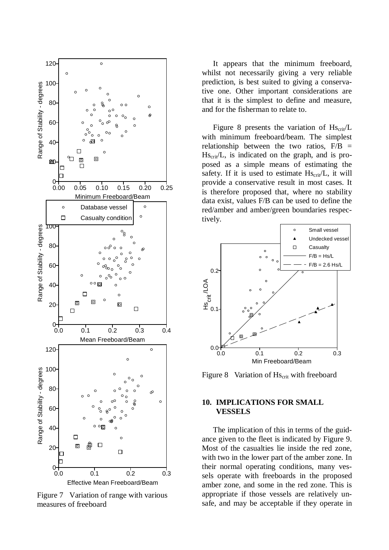

Figure 7 Variation of range with various measures of freeboard

It appears that the minimum freeboard, whilst not necessarily giving a very reliable prediction, is best suited to giving a conservative one. Other important considerations are that it is the simplest to define and measure, and for the fisherman to relate to.

Figure 8 presents the variation of  $Hs_{\text{crit}}/L$ with minimum freeboard/beam. The simplest relationship between the two ratios,  $F/B =$  $Hs_{\text{crit}}/L$ , is indicated on the graph, and is proposed as a simple means of estimating the safety. If it is used to estimate  $Hs_{\text{crit}}/L$ , it will provide a conservative result in most cases. It is therefore proposed that, where no stability data exist, values F/B can be used to define the red/amber and amber/green boundaries respectively.



Figure 8 Variation of Hs<sub>crit</sub> with freeboard

#### **10. IMPLICATIONS FOR SMALL VESSELS**

The implication of this in terms of the guidance given to the fleet is indicated by Figure 9. Most of the casualties lie inside the red zone, with two in the lower part of the amber zone. In their normal operating conditions, many vessels operate with freeboards in the proposed amber zone, and some in the red zone. This is appropriate if those vessels are relatively unsafe, and may be acceptable if they operate in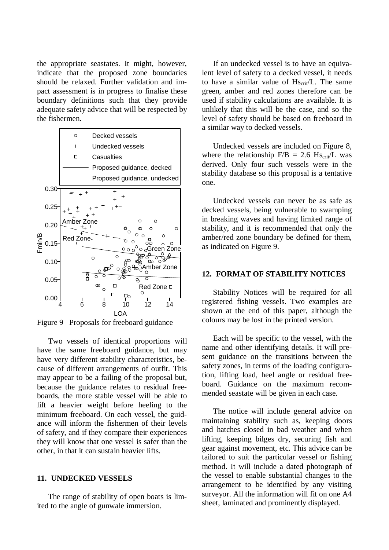the appropriate seastates. It might, however, indicate that the proposed zone boundaries should be relaxed. Further validation and impact assessment is in progress to finalise these boundary definitions such that they provide adequate safety advice that will be respected by the fishermen.



Figure 9 Proposals for freeboard guidance

Two vessels of identical proportions will have the same freeboard guidance, but may have very different stability characteristics, because of different arrangements of outfit. This may appear to be a failing of the proposal but, because the guidance relates to residual freeboards, the more stable vessel will be able to lift a heavier weight before heeling to the minimum freeboard. On each vessel, the guidance will inform the fishermen of their levels of safety, and if they compare their experiences they will know that one vessel is safer than the other, in that it can sustain heavier lifts.

#### **11. UNDECKED VESSELS**

The range of stability of open boats is limited to the angle of gunwale immersion.

If an undecked vessel is to have an equivalent level of safety to a decked vessel, it needs to have a similar value of  $Hs_{crit}/L$ . The same green, amber and red zones therefore can be used if stability calculations are available. It is unlikely that this will be the case, and so the level of safety should be based on freeboard in a similar way to decked vessels.

Undecked vessels are included on Figure 8, where the relationship  $F/B = 2.6$  Hs<sub>crit</sub>/L was derived. Only four such vessels were in the stability database so this proposal is a tentative one.

Undecked vessels can never be as safe as decked vessels, being vulnerable to swamping in breaking waves and having limited range of stability, and it is recommended that only the amber/red zone boundary be defined for them, as indicated on Figure 9.

#### **12. FORMAT OF STABILITY NOTICES**

Stability Notices will be required for all registered fishing vessels. Two examples are shown at the end of this paper, although the colours may be lost in the printed version.

Each will be specific to the vessel, with the name and other identifying details. It will present guidance on the transitions between the safety zones, in terms of the loading configuration, lifting load, heel angle or residual freeboard. Guidance on the maximum recommended seastate will be given in each case.

The notice will include general advice on maintaining stability such as, keeping doors and hatches closed in bad weather and when lifting, keeping bilges dry, securing fish and gear against movement, etc. This advice can be tailored to suit the particular vessel or fishing method. It will include a dated photograph of the vessel to enable substantial changes to the arrangement to be identified by any visiting surveyor. All the information will fit on one A4 sheet, laminated and prominently displayed.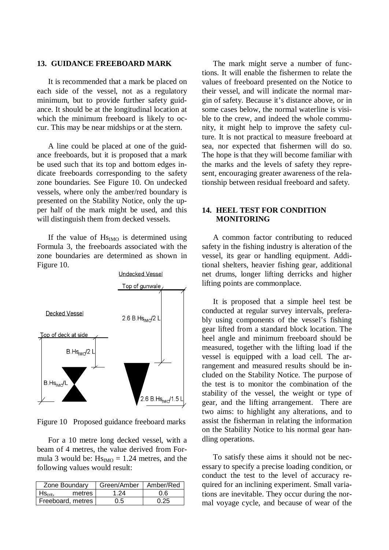#### **13. GUIDANCE FREEBOARD MARK**

It is recommended that a mark be placed on each side of the vessel, not as a regulatory minimum, but to provide further safety guidance. It should be at the longitudinal location at which the minimum freeboard is likely to occur. This may be near midships or at the stern.

A line could be placed at one of the guidance freeboards, but it is proposed that a mark be used such that its top and bottom edges indicate freeboards corresponding to the safety zone boundaries. See Figure 10. On undecked vessels, where only the amber/red boundary is presented on the Stability Notice, only the upper half of the mark might be used, and this will distinguish them from decked vessels.

If the value of  $Hs<sub>IMO</sub>$  is determined using Formula 3, the freeboards associated with the zone boundaries are determined as shown in Figure 10.



Figure 10 Proposed guidance freeboard marks

For a 10 metre long decked vessel, with a beam of 4 metres, the value derived from Formula 3 would be:  $Hs<sub>IMO</sub> = 1.24$  metres, and the following values would result:

| Zone Boundary                | Green/Amber   Amber/Red |      |
|------------------------------|-------------------------|------|
| metres<br>$HS_{\text{crit}}$ | 1 24                    | 0.6  |
| Freeboard, metres            | 0.5                     | በ 25 |

The mark might serve a number of functions. It will enable the fishermen to relate the values of freeboard presented on the Notice to their vessel, and will indicate the normal margin of safety. Because it's distance above, or in some cases below, the normal waterline is visible to the crew, and indeed the whole community, it might help to improve the safety culture. It is not practical to measure freeboard at sea, nor expected that fishermen will do so. The hope is that they will become familiar with the marks and the levels of safety they represent, encouraging greater awareness of the relationship between residual freeboard and safety.

## **14. HEEL TEST FOR CONDITION MONITORING**

A common factor contributing to reduced safety in the fishing industry is alteration of the vessel, its gear or handling equipment. Additional shelters, heavier fishing gear, additional net drums, longer lifting derricks and higher lifting points are commonplace.

It is proposed that a simple heel test be conducted at regular survey intervals, preferably using components of the vessel's fishing gear lifted from a standard block location. The heel angle and minimum freeboard should be measured, together with the lifting load if the vessel is equipped with a load cell. The arrangement and measured results should be included on the Stability Notice. The purpose of the test is to monitor the combination of the stability of the vessel, the weight or type of gear, and the lifting arrangement. There are two aims: to highlight any alterations, and to assist the fisherman in relating the information on the Stability Notice to his normal gear handling operations.

To satisfy these aims it should not be necessary to specify a precise loading condition, or conduct the test to the level of accuracy required for an inclining experiment. Small variations are inevitable. They occur during the normal voyage cycle, and because of wear of the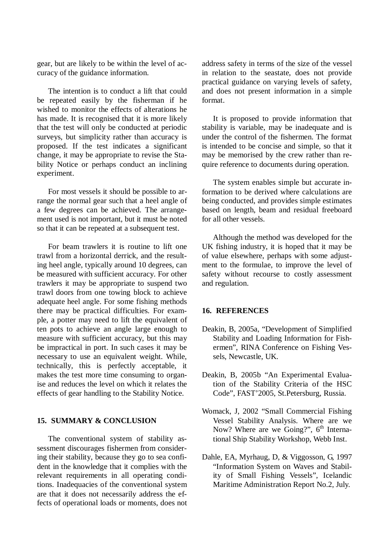gear, but are likely to be within the level of accuracy of the guidance information.

The intention is to conduct a lift that could be repeated easily by the fisherman if he wished to monitor the effects of alterations he has made. It is recognised that it is more likely that the test will only be conducted at periodic surveys, but simplicity rather than accuracy is proposed. If the test indicates a significant change, it may be appropriate to revise the Stability Notice or perhaps conduct an inclining experiment.

For most vessels it should be possible to arrange the normal gear such that a heel angle of a few degrees can be achieved. The arrangement used is not important, but it must be noted so that it can be repeated at a subsequent test.

For beam trawlers it is routine to lift one trawl from a horizontal derrick, and the resulting heel angle, typically around 10 degrees, can be measured with sufficient accuracy. For other trawlers it may be appropriate to suspend two trawl doors from one towing block to achieve adequate heel angle. For some fishing methods there may be practical difficulties. For example, a potter may need to lift the equivalent of ten pots to achieve an angle large enough to measure with sufficient accuracy, but this may be impractical in port. In such cases it may be necessary to use an equivalent weight. While, technically, this is perfectly acceptable, it makes the test more time consuming to organise and reduces the level on which it relates the effects of gear handling to the Stability Notice.

# **15. SUMMARY & CONCLUSION**

The conventional system of stability assessment discourages fishermen from considering their stability, because they go to sea confident in the knowledge that it complies with the relevant requirements in all operating conditions. Inadequacies of the conventional system are that it does not necessarily address the effects of operational loads or moments, does not

address safety in terms of the size of the vessel in relation to the seastate, does not provide practical guidance on varying levels of safety, and does not present information in a simple format.

It is proposed to provide information that stability is variable, may be inadequate and is under the control of the fishermen. The format is intended to be concise and simple, so that it may be memorised by the crew rather than require reference to documents during operation.

The system enables simple but accurate information to be derived where calculations are being conducted, and provides simple estimates based on length, beam and residual freeboard for all other vessels.

Although the method was developed for the UK fishing industry, it is hoped that it may be of value elsewhere, perhaps with some adjustment to the formulae, to improve the level of safety without recourse to costly assessment and regulation.

#### **16. REFERENCES**

- Deakin, B, 2005a, "Development of Simplified Stability and Loading Information for Fishermen", RINA Conference on Fishing Vessels, Newcastle, UK.
- Deakin, B, 2005b "An Experimental Evaluation of the Stability Criteria of the HSC Code", FAST'2005, St.Petersburg, Russia.
- Womack, J, 2002 "Small Commercial Fishing Vessel Stability Analysis. Where are we Now? Where are we Going?",  $6<sup>th</sup>$  International Ship Stability Workshop, Webb Inst.
- Dahle, EA, Myrhaug, D, & Viggosson, G, 1997 "Information System on Waves and Stability of Small Fishing Vessels", Icelandic Maritime Administration Report No.2, July.